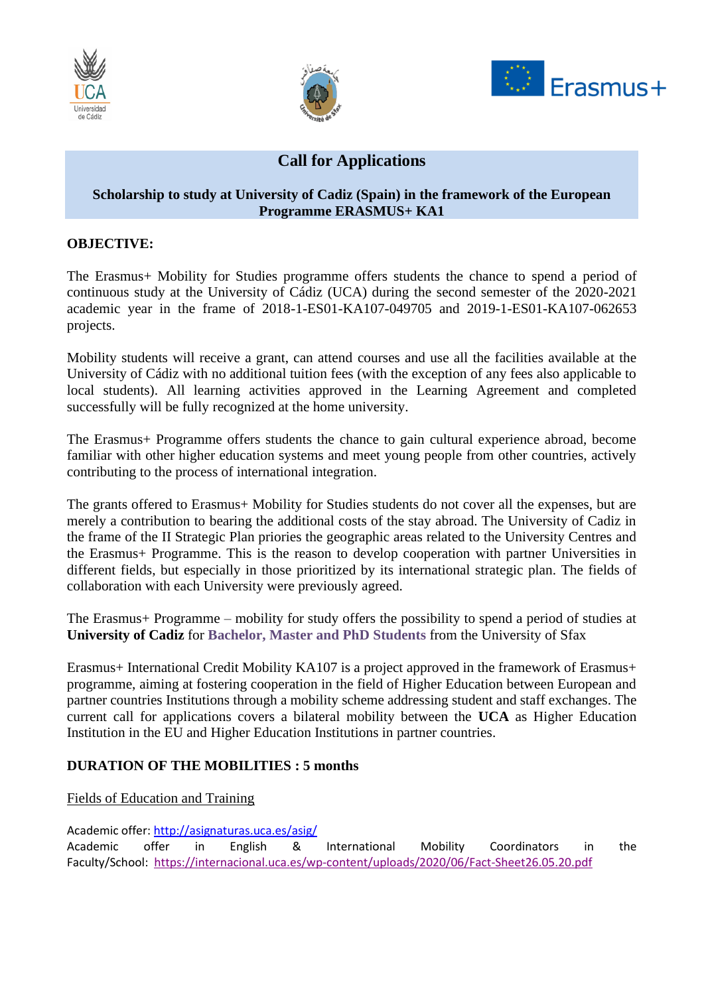





# **Call for Applications**

### **Scholarship to study at University of Cadiz (Spain) in the framework of the European Programme ERASMUS+ KA1**

## **OBJECTIVE:**

The Erasmus+ Mobility for Studies programme offers students the chance to spend a period of continuous study at the University of Cádiz (UCA) during the second semester of the 2020-2021 academic year in the frame of 2018-1-ES01-KA107-049705 and 2019-1-ES01-KA107-062653 projects.

Mobility students will receive a grant, can attend courses and use all the facilities available at the University of Cádiz with no additional tuition fees (with the exception of any fees also applicable to local students). All learning activities approved in the Learning Agreement and completed successfully will be fully recognized at the home university.

The Erasmus+ Programme offers students the chance to gain cultural experience abroad, become familiar with other higher education systems and meet young people from other countries, actively contributing to the process of international integration.

The grants offered to Erasmus+ Mobility for Studies students do not cover all the expenses, but are merely a contribution to bearing the additional costs of the stay abroad. The University of Cadiz in the frame of the II Strategic Plan priories the geographic areas related to the University Centres and the Erasmus+ Programme. This is the reason to develop cooperation with partner Universities in different fields, but especially in those prioritized by its international strategic plan. The fields of collaboration with each University were previously agreed.

The Erasmus+ Programme – mobility for study offers the possibility to spend a period of studies at **University of Cadiz** for **Bachelor, Master and PhD Students** from the University of Sfax

Erasmus+ International Credit Mobility KA107 is a project approved in the framework of Erasmus+ programme, aiming at fostering cooperation in the field of Higher Education between European and partner countries Institutions through a mobility scheme addressing student and staff exchanges. The current call for applications covers a bilateral mobility between the **UCA** as Higher Education Institution in the EU and Higher Education Institutions in partner countries.

#### **DURATION OF THE MOBILITIES : 5 months**

#### Fields of Education and Training

Academic offer:<http://asignaturas.uca.es/asig/> Academic offer in English & International Mobility Coordinators in the Faculty/School:<https://internacional.uca.es/wp-content/uploads/2020/06/Fact-Sheet26.05.20.pdf>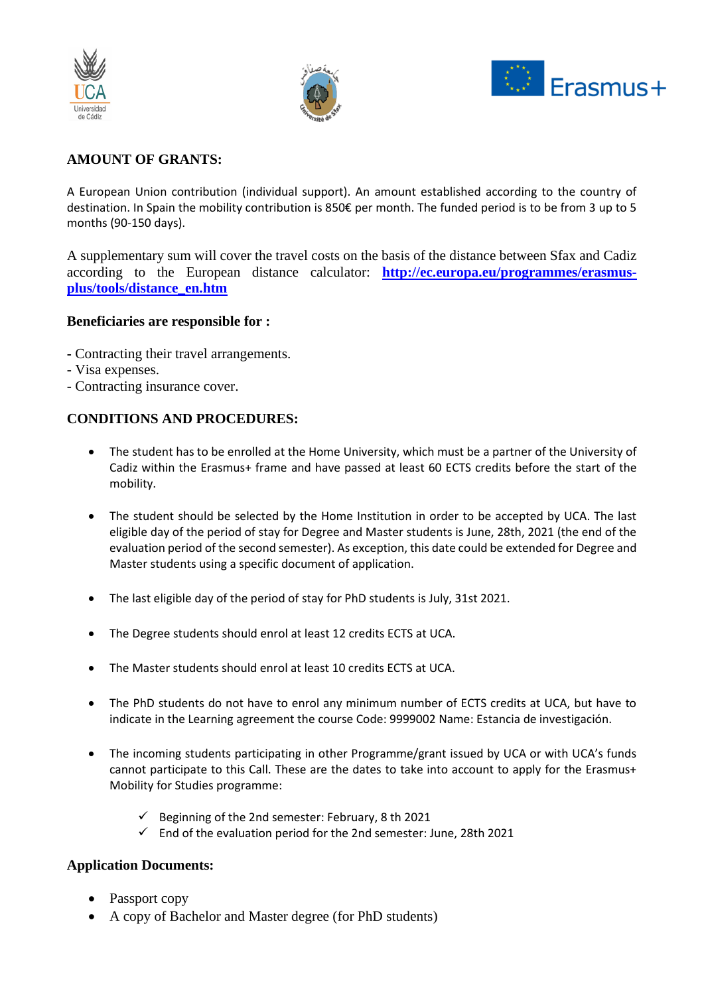





# **AMOUNT OF GRANTS:**

A European Union contribution (individual support). An amount established according to the country of destination. In Spain the mobility contribution is 850€ per month. The funded period is to be from 3 up to 5 months (90-150 days).

A supplementary sum will cover the travel costs on the basis of the distance between Sfax and Cadiz according to the European distance calculator: **[http://ec.europa.eu/programmes/erasmus](http://ec.europa.eu/programmes/erasmus-plus/tools/distance_en.htm)[plus/tools/distance\\_en.htm](http://ec.europa.eu/programmes/erasmus-plus/tools/distance_en.htm)**

#### **Beneficiaries are responsible for :**

- **-** Contracting their travel arrangements.
- Visa expenses.
- Contracting insurance cover.

#### **CONDITIONS AND PROCEDURES:**

- The student has to be enrolled at the Home University, which must be a partner of the University of Cadiz within the Erasmus+ frame and have passed at least 60 ECTS credits before the start of the mobility.
- The student should be selected by the Home Institution in order to be accepted by UCA. The last eligible day of the period of stay for Degree and Master students is June, 28th, 2021 (the end of the evaluation period of the second semester). As exception, this date could be extended for Degree and Master students using a specific document of application.
- The last eligible day of the period of stay for PhD students is July, 31st 2021.
- The Degree students should enrol at least 12 credits ECTS at UCA.
- The Master students should enrol at least 10 credits ECTS at UCA.
- The PhD students do not have to enrol any minimum number of ECTS credits at UCA, but have to indicate in the Learning agreement the course Code: 9999002 Name: Estancia de investigación.
- The incoming students participating in other Programme/grant issued by UCA or with UCA's funds cannot participate to this Call. These are the dates to take into account to apply for the Erasmus+ Mobility for Studies programme:
	- $\checkmark$  Beginning of the 2nd semester: February, 8 th 2021
	- $\checkmark$  End of the evaluation period for the 2nd semester: June, 28th 2021

#### **Application Documents:**

- Passport copy
- A copy of Bachelor and Master degree (for PhD students)